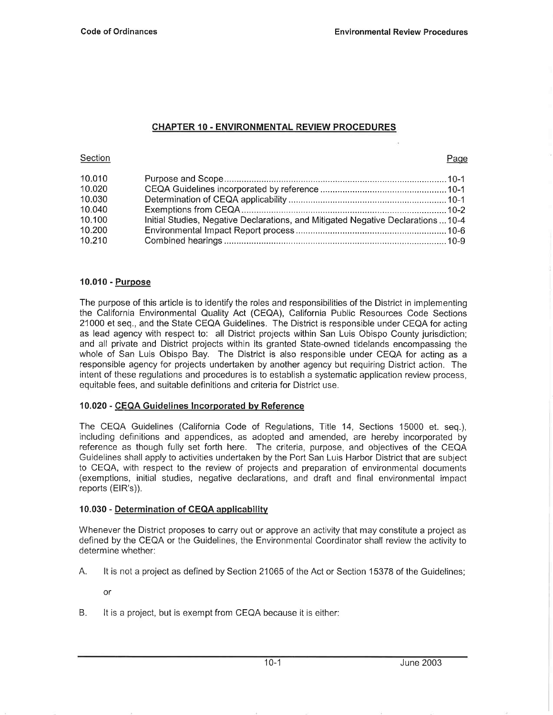## CHAPTER 10. ENVIRONMENTAL REVIEW PROCEDURES

#### **Section**

#### Paqe

| 10.010 |                                                                                   |
|--------|-----------------------------------------------------------------------------------|
| 10.020 |                                                                                   |
| 10.030 |                                                                                   |
| 10.040 |                                                                                   |
| 10.100 | Initial Studies, Negative Declarations, and Mitigated Negative Declarations  10-4 |
| 10.200 |                                                                                   |
| 10.210 |                                                                                   |

### 10.010 - Purpose

The purpose of this article is to identify the roles and responsibilities of the District in implementing the California Environmental Quality Act (CEQA), California Public Resources Code Sections 21000 et seq., and the State CEQA Guidelines. The District is responsible under CEQA for acting as lead agency with respect to: all District projects within San Luis Obispo County jurisdiction; and all private and District projects within its granted State-owned tidelands encompassing the whole of San Luis Obispo Bay. The District is also responsible under CEQA for acting as a responsible agency for projects undertaken by another agency but requiring District action. The intent of these regulations and procedures is to establish a systematic application review process, equitable fees, and suitable definitions and criteria for District use.

#### 10.020 - CEQA Guidelines Incorporated bv Reference

The CEQA Guidelines (California Code of Regulations, Title 14, Sections 15000 et. seq.), including definitions and appendices, as adopted and amended, are hereby incorporated by reference as though fully set forth here. The criteria, purpose, and objectives of the CEQA Guidelines shall apply to activities undertaken by the Port San Luis Harbor District that are subject to CEQA, with respect to the review of projects and preparation of environmental documents (exemptions, initial studies, negative declarations, and draft and final environmental impact reports (ElR's)).

#### 10.030 - Determination of GEQA applicabilitv

Whenever the District proposes to carry out or approve an activity that may constitute a project as defined by the CEQA or the Guidelines, the Environmental Coordinator shall review the activity to determine whether:

A. lt is not a project as defined by Section 21065 of the Act or Section 15378 of the Guidelines;

or

B. lt is a project, but is exempt from CEQA because it is either: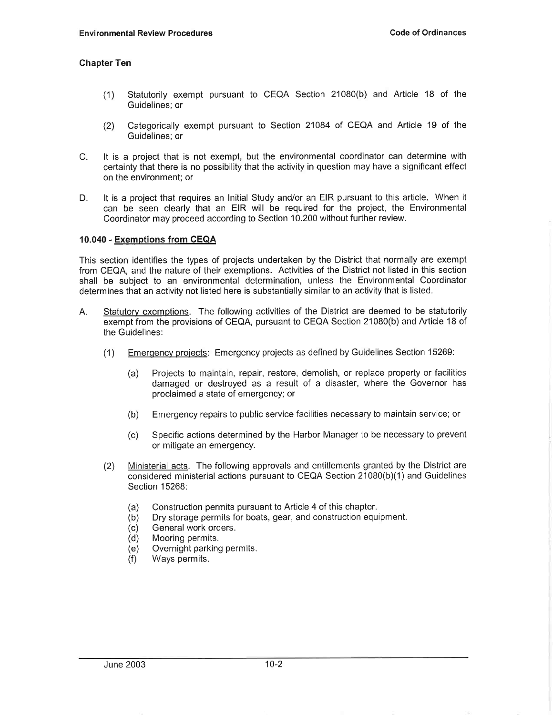## Chapter Ten

- (1) Statutorily exempt pursuant to CEQA Section 21080(b) and Article 18 of the Guidelines: or
- (2) Categorically exempt pursuant to Section 21084 of CEQA and Article 19 of the Guidelines: or
- C. lt is a project that is not exempt, but the environmental coordinator can determine with certainty that there is no possibility that the activity in question may have a significant effect on the environment; or
- D. lt is a project that requires an Initial Study and/or an EIR pursuant to this article. When it can be seen clearly that an EIR will be required for the project, the Environmental Coordinator may proceed according to Section 10.200 without further review.

#### 10.040 - Exemptions from CEQA

This section identifies the types of projects undertaken by the District that normally are exempt from CEQA, and the nature of their exemptions. Activities of the District not listed in this section shall be subject to an environmental determination, unless the Environmental Coordinator determines that an activity not listed here is substantially similar to an activity that is listed.

- A. Statutorv exemptions. The following activities of the District are deemed to be statutorily exempt from the provisions of CEQA, pursuant to CEQA Section 21080(b) and Article 18 of the Guidelines:
	- (1) Emerqencv proiects: Emergency projects as defined by Guidelines Section 15269:
		- (a) Projects to maintain, repair, restore, demolish, or replace property or facilities damaged or destroyed as a result of a disaster, where the Governor has proclaimed a state of emergency; or
		- (b) Emergency repairs to public service facilities necessary to maintain service; or
		- (c) Specific actions determined by the Harbor Manager to be necessary to prevent or mitigate an emergency.
	- (2) Ministerial acts. The following approvals and entitlements granted by the District are considered ministerial actions pursuant to CEQA Section  $21080(b)(1)$  and Guidelines Section 15268:
		- (a) Construction permits pursuant to Article 4 of this chapter.
		- (b) Dry storage permits for boats, gear, and construction equipment.
		- (c) General work orders.
		- (d) Mooring permits.
		- (e) Overnight parking permits.
		- (f) Ways permits.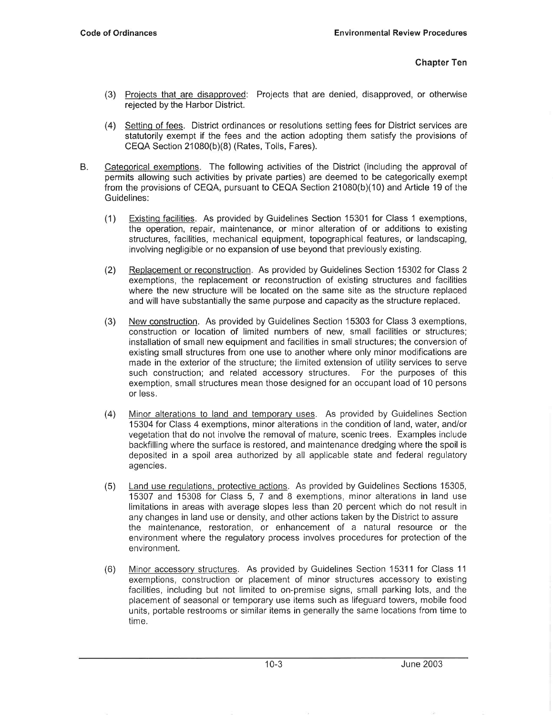- (3) Proiects that are disaoproved: Projects that are denied, disapproved, or othenruise rejected by the Harbor District.
- (4) Setting of fees. District ordinances or resolutions setting fees for District services are statutorily exempt if the fees and the action adopting them satisfy the provisions of CEQA Section 21080(b)(8) (Rates, Tolls, Fares).
- B. Categorical exemptions. The following activities of the District (including the approval of permits allowing such activities by private parties) are deemed to be categorically exempt from the provisions of CEQA, pursuant to CEQA Section  $21080(b)(10)$  and Article 19 of the Guidelines:
	- (1) Existinq facilities. As provided by Guidelines Section 15301 for Class 1 exemptions, the operation, repair, maintenance, or minor alteration of or additions to existing structures, facilities, mechanical equipment, topographical features, or landscaping, involving negligible or no expansion of use beyond that previously existing.
	- (2) Replacement or reconstruction. As provided by Guidelines Section 15302 for Class 2 exemptions, the replacement or reconstruction of existing structures and facilities where the new structure will be located on the same site as the structure replaced and will have substantially the same purpose and capacity as the structure replaced.
	- (3) New construction. As provided by Guidelines Section 15303 for Class 3 exemptions, construction or location of limited numbers of new, small facilities or structures; installation of small new equipment and facilities in small structures; the conversion of existing small structures from one use to another where only minor modifications are made in the exterior of the structure; the limited extension of utility services to serve such construction; and related accessory structures. For the purposes of this exemption, small structures mean those designed for an occupant load of 10 persons or less.
	- (4) Minor alterations to land and temporarv uses. As provided by Guidelines Section 15304 for Class 4 exemptions, minor alterations in the condition of land, water, and/or vegetation that do not involve the removal of mature, scenic trees. Examples include backfilling where the surface is restored, and maintenance dredging where the spoil is deposited in a spoil area authorized by all applicable state and federal regulatory agencies.
	- (5) Land use requlations, protective actions. As provided by Guidelines Sections 15305, 15307 and 15308 for Class 5, 7 and 8 exemptions, minor alterations in land use limitations in areas with average slopes less than 20 percent which do not result in any changes in land use or density, and other actions taken by the District to assure the maintenance. restoration. or enhancement of a natural resource or the environment where the regulatory process involves procedures for protection of the environment.
	- (6) Minor accessory structures. As provided by Guidelines Section 15311 for Class 11 exemptions, construction or placement of minor structures accessory to existing facilities, including but not limited to on-premise signs, small parking lots, and the placement of seasonal or temporary use items such as lifeguard towers, mobile food units, portable restrooms or similar items in generally the same locations from time to time.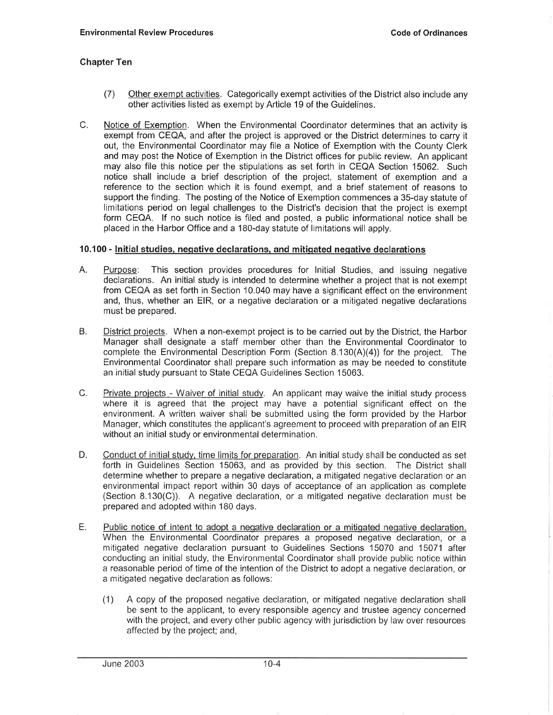## Ghapter Ten

- (7) Other exempt activities. Categorically exempt activities of the District also include any other activities listed as exempt by Article 19 of the Guidelines.
- C. Notice of Exemption. When the Environmental Coordinator determines that an activity is exempt from CEQA, and after the project is approved or the District determines to carry it out, the Environmental Coordinator may file a Notice of Exemption with the County Clerk and may post the Notice of Exemption in the District offices for public review. An applicant may also file this notice per the stipulations as set forth in CEQA Section 15062. Such notice shall include a brief description of the project, statement of exemption and a reference to the section which it is found exempt, and a brief statement of reasons to support the finding. The posting of the Notice of Exemption commences a 35-day statute of limitations period on legal challenges to the District's decision that the project is exempt form CEQA. lf no such notice is filed and posted, a public informational notice shall be placed in the Harbor Office and a 180-day statute of limitations will apply.

### 10.100 - Initial studies, negative declarations, and mitigated negative declarations

- A. Purpose: This section provides procedures for Initial Studies, and issuing negative declarations. An initial study is intended to determine whether a project that is not exempt from CEQA as setforth in Section 10.040 may have a significant effect on the environment and, thus, whether an ElR, or a negative declaration or a mitigated negative declarations must be prepared.
- B. District proiects. When a non-exempt project is to be carried out by the District, the Harbor Manager shall designate a staff member other than the Environmental Coordinator to complete the Environmental Description Form (Section  $8.130(A)(4)$ ) for the project. The Environmental Coordinator shall prepare such information as may be needed to constitute an initial study pursuant to State CEQA Guidelines Section 15063.
- C. Private projects Waiver of initial study. An applicant may waive the initial study process where it is agreed that the project may have a potential significant effect on the environment. Awritten waiver shall be submitted using the form provided by the Harbor Manager, which constitutes the applicant's agreement to proceed with preparation of an EIR without an initial study or environmental determination.
- D. Conduct of initial study, time limits for preparation. An initial study shall be conducted as set forth in Guidelines Section 15063, and as provided by this section. The District shall determine whether to prepare a negative declaration, amitigated negative declaration or an environmental impact report within 30 days of acceptance of an application as complete (Section 8.130(C)). A negative declaration, or a mitigated negative declaration must be prepared and adopted within 180 days.
- E . Public notice of intent to adopt a negative declaration or a mitigated negative declaration. When the Environmental Coordinator prepares a proposed negative declaration, or a mitigated negative declaration pursuant to Guidelines Sections 15070 and 15071 after conducting an initial study, the Environmental Coordinator shall provide public notice within a reasonable period of time of the intention of the District to adopt a negative declaration, or a mitigated negative declaration as follows:
	- (1) A copy of the proposed negative declaration, or mitigated negative declaration shall be sent to the applicant, to every responsible agency and trustee agency concerned with the project, and every other public agency with jurisdiction by law over resources affected by the project; and,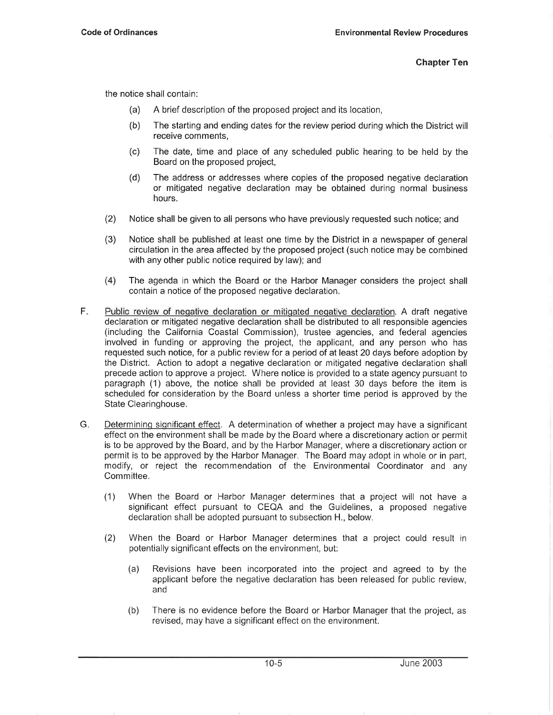the notice shall contain:

- (a) A brief description of the proposed project and its location,
- (b) The starting and ending dates for the review period during which the District will receive comments,
- (c) The date, time and place of any scheduled public hearing to be held by the Board on the proposed project,
- (d) The address or addresses where copies of the proposed negative declaration or mitigated negative declaration may be obtained during normal business hours.
- (2) Notice shall be given to all persons who have previously requested such notice; and
- (3) Notice shall be published at least one time by the District in a newspaper of general circulation in the area affected by the proposed project (such notice may be combined with any other public notice required by law); and
- (4) The agenda in which the Board or the Harbor Manager considers the project shall contain a notice of the proposed negative declaration.
- F Public review of negative declaration or mitigated negative declaration. A draft negative declaration or mitigated negative declaration shall be distributed to all responsible agencies (including the California Coastal Commission), trustee agencies, and federal agencies involved in funding or approving the project, the applicant, and any person who has requested such notice, for a public review for a period of at least 20 days before adoption by the District. Action to adopt a negative declaration or mitigated negative declaration shall precede action to approve a project. Where notice is provided to a state agency pursuant to paragraph (1) above, the notice shall be provided at least 30 days before the item is scheduled for consideration by the Board unless a shorter time period is approved by the State Clearinghouse.
- $G_{\cdot}$ Determininq siqnificant effect. A determination of whether a project may have a significant effect on the environment shall be made by the Board where a discretionary action or permit is to be approved by the Board, and by the Harbor Manager, where a discretionary action or permit is to be approved by the Harbor Manager. The Board may adopt in whole or in part, modify, or reject the recommendation of the Environmental Coordinator and any Committee.
	- (1) When the Board or Harbor Manager determines that a project will not have a significant effect pursuant to CEQA and the Guidelines, a proposed negative declaration shall be adopted pursuant to subsection H., below.
	- (2) When the Board or Harbor Manager determines that a project could result in potentially significant effects on the environment, but:
		- (a) Revisions have been incorporated into the project and agreed to by the applicant before the negative declaration has been released for public review, and
		- (b) There is no evidence before the Board or Harbor Manager that the project, as revised, may have a significant effect on the environment.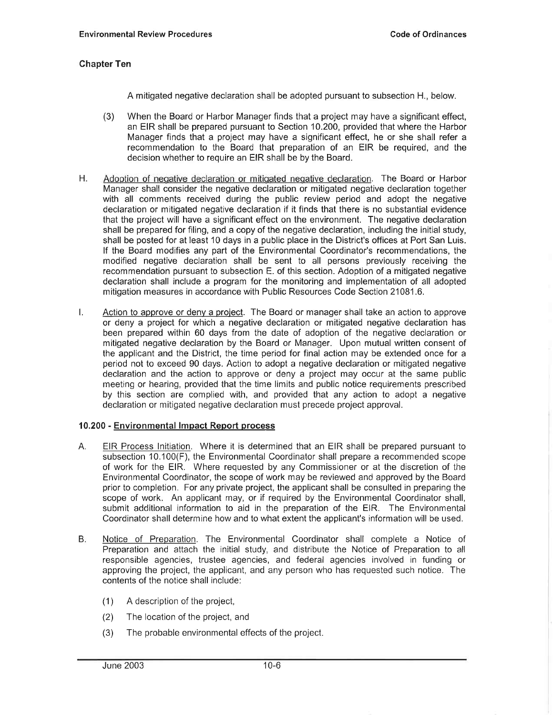## Chapter Ten

A mitigated negative declaration shall be adopted pursuant to subsection H., below.

- (3) When the Board or Harbor Manager finds that a project may have a significant effect, an EIR shall be prepared pursuant to Section 10.200, provided that where the Harbor Manager finds that a project may have a significant effect, he or she shall refer a recommendation to the Board that preparation of an EIR be required, and the decision whether to require an EIR shall be by the Board.
- H. Adoption of negative declaration or mitigated negative declaration. The Board or Harbor Manager shall consider the negative declaration or mitigated negative declaration together with all comments received during the public review period and adopt the negative declaration or mitigated negative declaration if it finds that there is no substantial evidence that the project will have a significant effect on the environment. The negative declaration shall be prepared for filing, and a copy of the negative declaration, including the initial study, shall be posted for at least 10 days in a public place in the District's offices at Port San Luis. lf the Board modifies any part of the Environmental Coordinator's recommendations, the modified negative declaration shall be sent to all persons previously receiving the recommendation pursuant to subsection E. of this section. Adoption of a mitigated negative declaration shall include a program for the monitoring and implementation of all adopted mitigation measures in accordance with Public Resources Code Section 21081.6.
- 1. Action to approve or deny a project. The Board or manager shall take an action to approve or deny a project for which a negative declaration or mitigated negative declaration has been prepared within 60 days from the date of adoption of the negative declaration or mitigated negative declaration by the Board or Manager. Upon mutual written consent of the applicant and the District, the time period for final action may be extended once for a period not to exceed 90 days. Action to adopt a negative declaration or mitigated negative declaration and the action to approve or deny a project may occur at the same public meeting or hearing, provided that the time limits and public notice requirements prescribed by this section are complied with, and provided that any action to adopt a negative declaration or mitigated negative declaration must precede project approval.

#### 10.200 - Environmental lmpact Report process

- A. EIR Process Initiation. Where it is determined that an EIR shall be prepared pursuant to subsection 10.100(F), the Environmental Coordinator shall prepare a recommended scope of work for the ElR. Where requested by any Commissioner or at the discretion of the Environmental Coordinator, the scope of work may be reviewed and approved by the Board prior to completion. For any private project, the applicant shall be consulted in preparing the scope of work. An applicant may, or if required by the Environmental Coordinator shall, submit additional information to aid in the preparation of the ElR. The Environmental Coordinator shall determine how and to what extent the applicant's information will be used.
- B. Notice of Preparation. The Environmental Coordinator shall complete a Notice of Preparation and attach the initial study, and distribute the Notice of Preparation to all responsible agencies, trustee agencies, and federal agencies involved in funding or approving the project, the applicant, and any person who has requested such notice. The contents of the notice shall include:
	- (1) A description of the project,
	- (2) The location of the project, and
	- (3) The probable environmental effects of the project.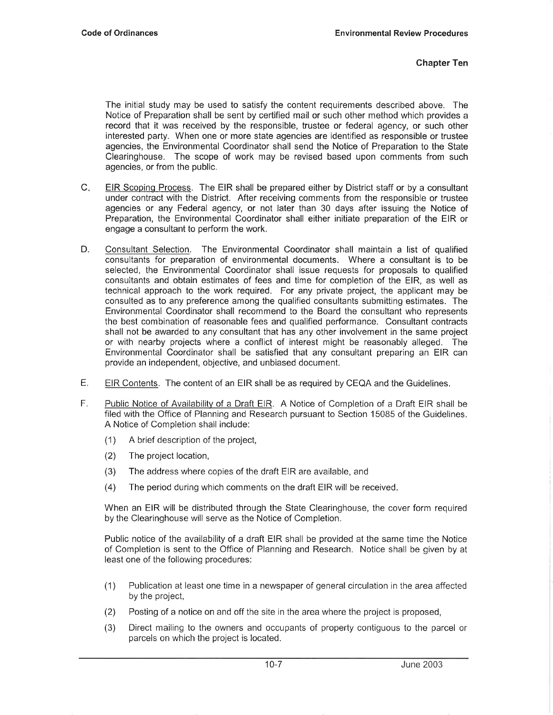The initial study may be used to satisfy the content requirements described above. The Notice of Preparation shall be sent by certified mail or such other method which provides a record that it was received by the responsible, trustee or federal agency, or such other interested party. When one or more state agencies are identified as responsible or trustee agencies, the Environmental Coordinator shall send the Notice of Preparation to the State Clearinghouse. The scope of work may be revised based upon comments from such agencies, or from the public.

- $C_{\tilde{v}}$ EIR Scopinq Process. The EIR shall be prepared either by District staff or by a consultant under contract with the District. After receiving comments from the responsible or trustee agencies or any Federal agency, or not later than 30 days after issuing the Notice of Preparation, the Environmental Coordinator shall either initiate preparation of the EIR or engage a consultant to perform the work.
- D. Consultant Selection. The Environmental Coordinator shall maintain a list of qualified consultants for preparation of environmental documents. Where a consultant is to be selected, the Environmental Coordinator shall issue requests for proposals to qualified consultants and obtain estimates of fees and time for completion of the ElR, as well as technical approach to the work required. For any private project, the applicant may be consulted as to any preference among the qualified consultants submitting estimates. The Environmental Coordinator shall recommend to the Board the consultant who represents the best combination of reasonable fees and qualified performance. Consultant contracts shall not be awarded to any consultant that has any other involvement in the same project or with nearby projects where a conflict of interest might be reasonably alleged. The Environmental Coordinator shall be satisfied that any consultant preparing an EIR can provide an independent, objective, and unbiased document.
- EIR Contents. The content of an EIR shall be as required by CEQA and the Guidelines. E.
- Public Notice of Availabilitv of a Draft ElR. A Notice of Completion of a Draft EIR shall be filed with the Office of Planning and Research pursuant to Section 15085 of the Guidelines. A Notice of Completion shall include: F.
	- (1) A brief description of the project,
	- (2) The project location,
	- (3) The address where copies of the draft EIR are available, and
	- (4) The period during which comments on the draft EIR will be received.

When an EIR will be distributed through the State Clearinghouse, the cover form required by the Clearinghouse will serve as the Notice of Completion.

Public notice of the availability of a draft EIR shall be provided at the same time the Notice of Completion is sent to the Office of Planning and Research. Notice shall be given by at least one of the following procedures:

- (1) Publication at least one time in a newspaper of general circulation in the area affected by the project,
- (2) Posting of a notice on and off the site in the area where the project is proposed,
- (3) Direct mailing to the owners and occupants of property contiguous to the parcel or parcels on which the project is located.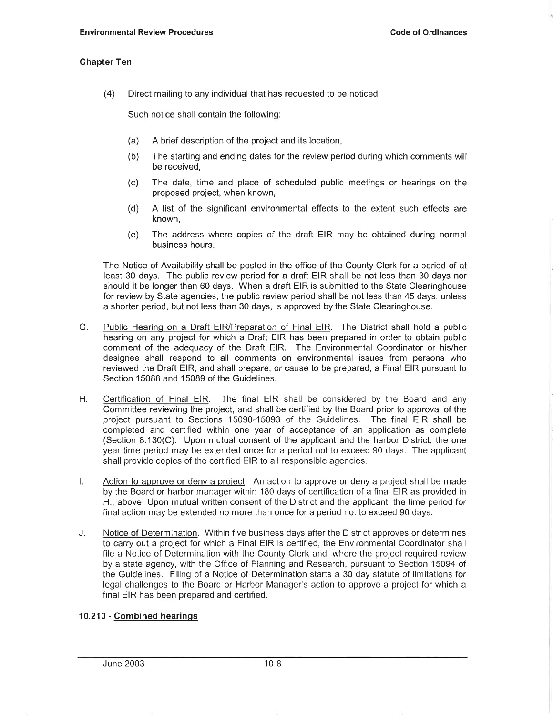### Ghapter Ten

(4) Direct mailing to any individual that has requested to be noticed.

Such notice shall contain the followino:

- (a) A brief description of the project and its location,
- (b) The starting and ending dates for the review period during which comments will be received,
- (c) The date, time and place of scheduled public meetings or hearings on the proposed project, when known,
- (d) A list of the significant environmental effects to the extent such effects are known,
- (e) The address where copies of the draft EIR may be obtained during normal business hours.

The Notice of Availability shall be posted in the office of the County Clerk for a period of at least 30 days. The public review period for a draft EIR shall be not less than 30 days nor should it be longer than 60 days. When a draft EIR is submitted to the State Clearinghouse for review by State agencies, the public review period shall be not less than 45 days, unless a shorter period, but not less than 30 days, is approved by the State Clearinghouse.

- G. Public Hearing on a Draft EIR/Preparation of Final EIR. The District shall hold a public hearing on any project for which a Draft EIR has been prepared in order to obtain public comment of the adequacy of the Draft ElR. The Environmental Coordinator or his/her designee shall respond to all comments on environmental issues from persons who reviewed the Draft ElR, and shall prepare, or cause to be prepared, a Final EIR pursuant to Section 15088 and 15089 of the Guidelines.
- H. Certification of Final EIR. The final EIR shall be considered by the Board and any Committee reviewing the project, and shall be certified by the Board prior to approval of the project pursuant to Sections 15090-15093 of the Guidelines. The final EIR shall be completed and certified within one year of acceptance of an application as complete (Section 8.130(C). Upon mutual consent of the applicant and the harbor District, the one year time period may be extended once for a period not to exceed 90 days. The applicant shall provide copies of the certified EIR to all responsible agencies.
- l. Action to approve or deny a project. An action to approve or deny a project shall be made by the Board or harbor manager within 180 days of certification of a final EIR as provided in H., above. Upon mutual written consent of the District and the applicant, the time period for final action may be extended no more than once for a period not to exceed 90 days.
- J. Notice of Determination. Within five business days after the District approves or determines to carry out a project for which a Final EIR is certified, the Environmental Coordinator shall file a Notice of Determination with the County Clerk and, where the project required review by a state agency, with the Office of Planning and Research, pursuant to Section 15094 of the Guidelines. Filing of a Notice of Determination starts a 30 day statute of limitations for legal challenges to the Board or Harbor Manager's action to approve a project for which a final EIR has been prepared and certified.

### 10.210 - Combined hearinqs